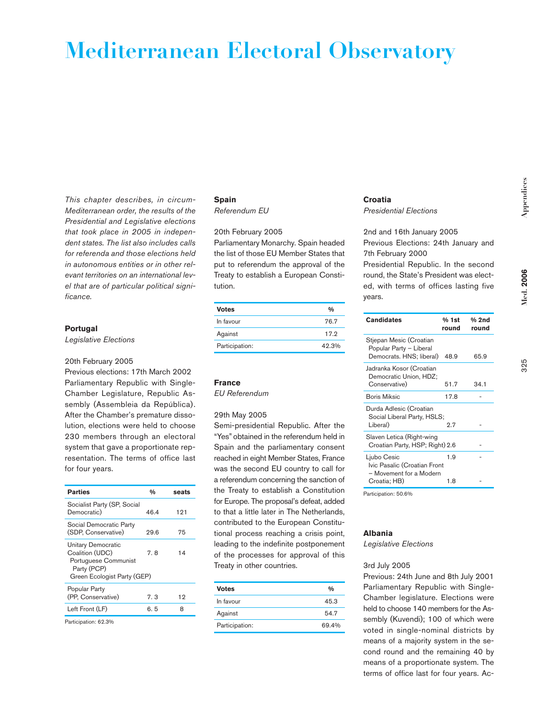# **Mediterranean Electoral Observatory**

*This chapter describes, in circum-Mediterranean order, the results of the Presidential and Legislative elections that took place in 2005 in independent states. The list also includes calls for referenda and those elections held in autonomous entities or in other relevant territories on an international level that are of particular political significance.*

## **Portugal**

*Legislative Elections*

#### 20th February 2005

Previous elections: 17th March 2002 Parliamentary Republic with Single-Chamber Legislature, Republic Assembly (Assembleia da República). After the Chamber's premature dissolution, elections were held to choose 230 members through an electoral system that gave a proportionate representation. The terms of office last for four years.

| <b>Parties</b>                                                                                              | 0/6  | seats |
|-------------------------------------------------------------------------------------------------------------|------|-------|
| Socialist Party (SP, Social<br>Democratic)                                                                  | 46.4 | 121   |
| Social Democratic Party<br>(SDP. Conservative)                                                              | 29.6 | 75    |
| Unitary Democratic<br>Coalition (UDC)<br>Portuguese Communist<br>Party (PCP)<br>Green Ecologist Party (GEP) | 7.8  | 14    |
| Popular Party<br>(PP. Conservative)                                                                         | 7.3  | 12    |
| Left Front (LF)                                                                                             | 6.5  | 8     |

Participation: 62.3%

## **Spain** *Referendum EU*

# 20th February 2005

Parliamentary Monarchy. Spain headed the list of those EU Member States that put to referendum the approval of the Treaty to establish a European Constitution.

| <b>Votes</b>   | 0/6   |
|----------------|-------|
| In favour      | 76.7  |
| Against        | 17.2  |
| Participation: | 42.3% |

## **France**

*EU Referendum*

### 29th May 2005

Semi-presidential Republic. After the "Yes" obtained in the referendum held in Spain and the parliamentary consent reached in eight Member States, France was the second EU country to call for a referendum concerning the sanction of the Treaty to establish a Constitution for Europe. The proposal's defeat, added to that a little later in The Netherlands, contributed to the European Constitutional process reaching a crisis point, leading to the indefinite postponement of the processes for approval of this Treaty in other countries.

| <b>Votes</b>   | 0/6   |
|----------------|-------|
| In favour      | 45.3  |
| Against        | 54.7  |
| Participation: | 69.4% |

## **Croatia** *Presidential Elections*

2nd and 16th January 2005 Previous Elections: 24th January and 7th February 2000

Presidential Republic. In the second round, the State's President was elected, with terms of offices lasting five years.

| <b>Candidates</b>                                                                      | % 1st<br>round | % 2nd<br>round |
|----------------------------------------------------------------------------------------|----------------|----------------|
| Stjepan Mesic (Croatian<br>Popular Party - Liberal<br>Democrats. HNS; liberal)         | 48.9           | 65.9           |
| Jadranka Kosor (Croatian<br>Democratic Union, HDZ;<br>Conservative)                    | 51.7           | 34.1           |
| <b>Boris Miksic</b>                                                                    | 17.8           |                |
| Durda Adlesic (Croatian<br>Social Liberal Party, HSLS;<br>Liberal)                     | 2.7            |                |
| Slaven Letica (Right-wing<br>Croatian Party, HSP; Right) 2.6                           |                |                |
| Ljubo Cesic<br>Ivic Pasalic (Croatian Front<br>- Movement for a Modern<br>Croatia; HB) | 1.9<br>1.8     |                |
| Participation: 50.6%                                                                   |                |                |

**Albania**

*Legislative Elections*

#### 3rd July 2005

Previous: 24th June and 8th July 2001 Parliamentary Republic with Single-Chamber legislature. Elections were held to choose 140 members for the Assembly (Kuvendi); 100 of which were voted in single-nominal districts by means of a majority system in the second round and the remaining 40 by means of a proportionate system. The terms of office last for four years. Ac325

**Med. 2006**

Med. 2006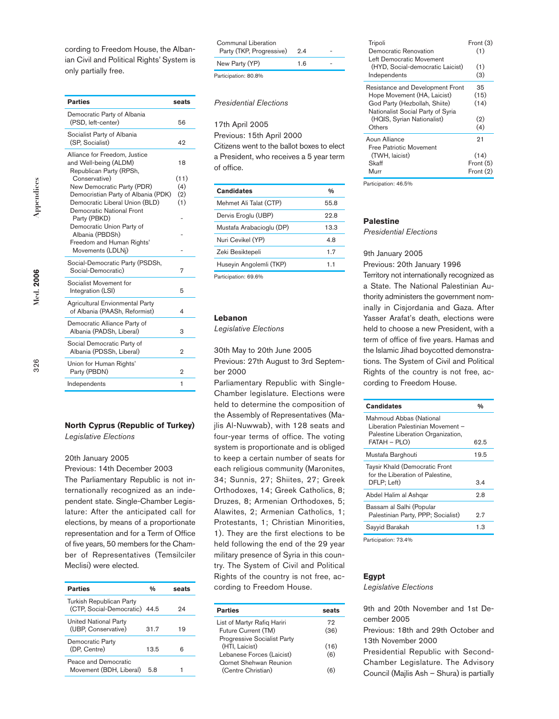cording to Freedom House, the Albanian Civil and Political Rights' System is only partially free.

| <b>Parties</b>                                                                    | seats          |
|-----------------------------------------------------------------------------------|----------------|
| Democratic Party of Albania<br>(PSD. left-center)                                 | 56             |
| Socialist Party of Albania<br>(SP, Socialist)                                     | 42             |
| Alliance for Freedom, Justice<br>and Well-being (ALDM)<br>Republican Party (RPSh, | 18             |
| Conservative)                                                                     | (11)           |
| New Democratic Party (PDR)<br>Democristian Party of Albania (PDK)                 | (4)<br>(2)     |
| Democratic Liberal Union (BLD)                                                    | (1)            |
| <b>Democratic National Front</b>                                                  |                |
| Party (PBKD)                                                                      |                |
| Democratic Union Party of                                                         |                |
| Albania (PBDSh)                                                                   |                |
| Freedom and Human Rights'<br>Movements (LDLNi)                                    |                |
|                                                                                   |                |
| Social-Democratic Party (PSDSh,<br>Social-Democratic)                             | 7              |
| Socialist Movement for                                                            |                |
| Integration (LSI)                                                                 | 5              |
| <b>Agricultural Envionmental Party</b><br>of Albania (PAASh, Reformist)           | 4              |
| Democratic Alliance Party of<br>Albania (PADSh, Liberal)                          | 3              |
| Social Democratic Party of<br>Albania (PDSSh, Liberal)                            | 2              |
| Union for Human Rights'<br>Party (PBDN)                                           | $\overline{2}$ |
| Independents                                                                      | $\mathbf{1}$   |

# **North Cyprus (Republic of Turkey)**

*Legislative Elections*

## 20th January 2005

Previous: 14th December 2003 The Parliamentary Republic is not internationally recognized as an independent state. Single-Chamber Legislature: After the anticipated call for elections, by means of a proportionate representation and for a Term of Office of five years, 50 members for the Chamber of Representatives (Temsilciler Meclisi) were elected.

| <b>Parties</b>                                                   | 0/0  | seats |
|------------------------------------------------------------------|------|-------|
| <b>Turkish Republican Party</b><br>(CTP. Social-Democratic) 44.5 |      | 94    |
| United National Party<br>(UBP. Conservative)                     | 31.7 | 19    |
| Democratic Party<br>(DP. Centre)                                 | 13.5 | 6     |
| Peace and Democratic<br>Movement (BDH, Liberal)                  | 5.8  |       |
|                                                                  |      |       |

| Communal Liberation<br>Party (TKP, Progressive) | 2.4 |  |
|-------------------------------------------------|-----|--|
| New Party (YP)                                  | 1.6 |  |
| Participation: 80.8%                            |     |  |

### *Presidential Elections*

17th April 2005

Previous: 15th April 2000

Citizens went to the ballot boxes to elect a President, who receives a 5 year term of office.

| <b>Candidates</b>        | 0/6  |
|--------------------------|------|
| Mehmet Ali Talat (CTP)   | 55.8 |
| Dervis Eroglu (UBP)      | 22.B |
| Mustafa Arabacioglu (DP) | 13.3 |
| Nuri Cevikel (YP)        | 4.8  |
| Zeki Besiktepeli         | 1.7  |
| Huseyin Angolemli (TKP)  | 1.1  |
| $D = 1$                  |      |

Participation: 69.6%

#### **Lebanon**

*Legislative Elections*

30th May to 20th June 2005 Previous: 27th August to 3rd September 2000

Parliamentary Republic with Single-Chamber legislature. Elections were held to determine the composition of the Assembly of Representatives (Majlis Al-Nuwwab), with 128 seats and four-year terms of office. The voting system is proportionate and is obliged to keep a certain number of seats for each religious community (Maronites, 34; Sunnis, 27; Shiites, 27; Greek Orthodoxes, 14; Greek Catholics, 8; Druzes, 8; Armenian Orthodoxes, 5; Alawites, 2; Armenian Catholics, 1; Protestants, 1; Christian Minorities, 1). They are the first elections to be held following the end of the 29 year military presence of Syria in this country. The System of Civil and Political Rights of the country is not free, according to Freedom House.

| <b>Parties</b>                                             | seats |
|------------------------------------------------------------|-------|
| List of Martyr Rafiq Hariri                                | 72    |
| Future Current (TM)                                        | (36)  |
| Progressive Socialist Party<br>(HTI, Laicist)              | (16)  |
| Lebanese Forces (Laicist)<br><b>Oornet Shehwan Reunion</b> | (6)   |
| (Centre Christian)                                         |       |

| Tripoli                           | Front (3) |
|-----------------------------------|-----------|
| Democratic Renovation             | (1)       |
| Left Democratic Movement          |           |
| (HYD, Social-democratic Laicist)  | (1)       |
| Independents                      | (3)       |
| Resistance and Development Front  | 35        |
| Hope Movement (HA, Laicist)       | (15)      |
| God Party (Hezbollah, Shiite)     | (14)      |
| Nationalist Social Party of Syria |           |
| (HQIS, Syrian Nationalist)        | (2)       |
| Others                            | (4)       |
| Aoun Alliance                     | 21        |
| Free Patriotic Movement           |           |
| (TWH, laicist)                    | (14)      |
| Skaff                             | Front (5) |
| Murr                              | Front (2) |
|                                   |           |

Participation: 46.5%

#### **Palestine**

*Presidential Elections*

## 9th January 2005

Previous: 20th January 1996

Territory not internationally recognized as a State. The National Palestinian Authority administers the government nominally in Cisjordania and Gaza. After Yasser Arafat's death, elections were held to choose a new President, with a term of office of five years. Hamas and the Islamic Jihad boycotted demonstrations. The System of Civil and Political Rights of the country is not free, according to Freedom House.

| <b>Candidates</b>                                                                                                  | 0/6  |
|--------------------------------------------------------------------------------------------------------------------|------|
| Mahmoud Abbas (National<br>Liberation Palestinian Movement -<br>Palestine Liberation Organization,<br>FATAH - PLO) | 62.5 |
| Mustafa Barghouti                                                                                                  | 19.5 |
| Taysir Khald (Democratic Front<br>for the Liberation of Palestine,<br>DFLP: Left)                                  | 3.4  |
| Abdel Halim al Ashgar                                                                                              | 9.8  |
| Bassam al Salhi (Popular<br>Palestinian Party, PPP; Socialist)                                                     | 2.7  |
| Sayyid Barakah                                                                                                     | 1.3  |
|                                                                                                                    |      |

Participation: 73.4%

#### **Egypt**

*Legislative Elections*

9th and 20th November and 1st December 2005

Previous: 18th and 29th October and 13th November 2000

Presidential Republic with Second-Chamber Legislature. The Advisory

Council (Majlis Ash – Shura) is partially

**Med. 2006**

**Med.** 2006